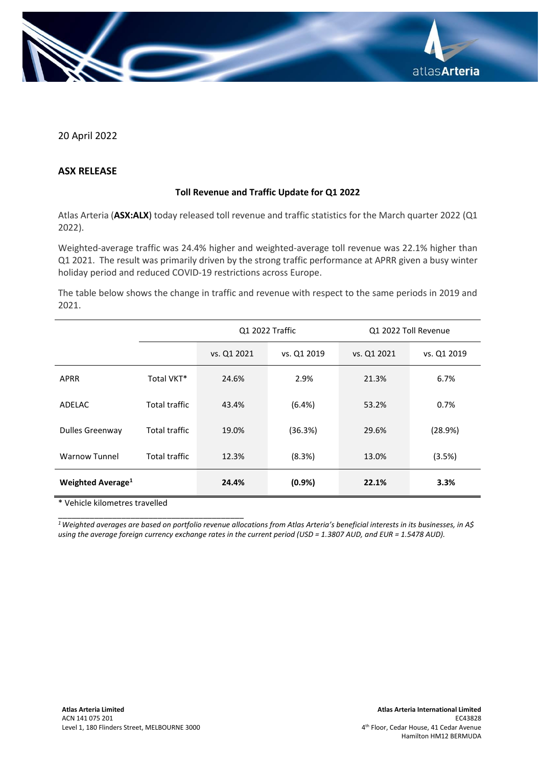

20 April 2022

## **ASX RELEASE**

## **Toll Revenue and Traffic Update for Q1 2022**

Atlas Arteria (**ASX:ALX**) today released toll revenue and traffic statistics for the March quarter 2022 (Q1 2022).

Weighted-average traffic was 24.4% higher and weighted-average toll revenue was 22.1% higher than Q1 2021. The result was primarily driven by the strong traffic performance at APRR given a busy winter holiday period and reduced COVID-19 restrictions across Europe.

The table below shows the change in traffic and revenue with respect to the same periods in 2019 and 2021.

|                               |                      | Q1 2022 Traffic |             | Q1 2022 Toll Revenue |             |
|-------------------------------|----------------------|-----------------|-------------|----------------------|-------------|
|                               |                      | vs. Q1 2021     | vs. Q1 2019 | vs. Q1 2021          | vs. Q1 2019 |
| <b>APRR</b>                   | Total VKT*           | 24.6%           | 2.9%        | 21.3%                | 6.7%        |
| ADELAC                        | <b>Total traffic</b> | 43.4%           | (6.4%)      | 53.2%                | 0.7%        |
| <b>Dulles Greenway</b>        | <b>Total traffic</b> | 19.0%           | (36.3%)     | 29.6%                | (28.9%)     |
| <b>Warnow Tunnel</b>          | <b>Total traffic</b> | 12.3%           | (8.3%)      | 13.0%                | (3.5%)      |
| Weighted Average <sup>1</sup> |                      | 24.4%           | (0.9%       | 22.1%                | 3.3%        |

\* Vehicle kilometres travelled

\_\_\_\_\_\_\_\_\_\_\_\_\_\_\_\_\_\_\_\_\_\_\_\_\_\_\_\_\_\_\_\_\_\_\_\_\_\_\_\_\_

*<sup>1</sup>Weighted averages are based on portfolio revenue allocations from Atlas Arteria's beneficial interests in its businesses, in A\$ using the average foreign currency exchange rates in the current period (USD = 1.3807 AUD, and EUR = 1.5478 AUD).*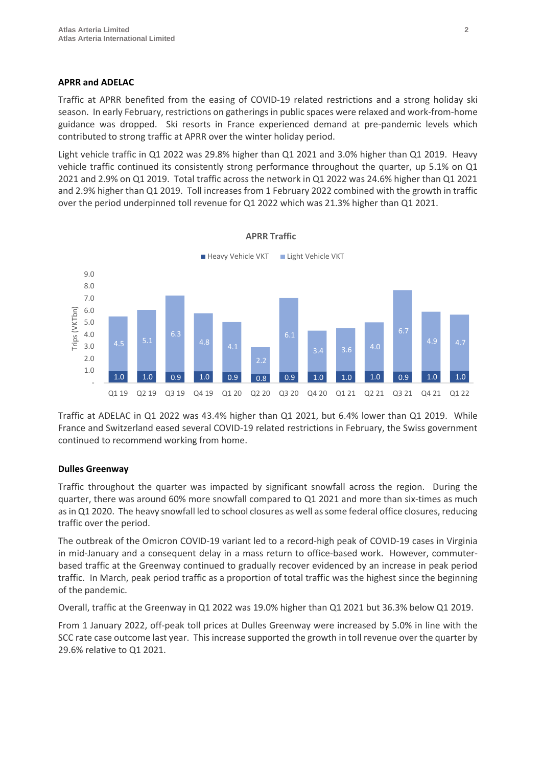## **APRR and ADELAC**

Traffic at APRR benefited from the easing of COVID-19 related restrictions and a strong holiday ski season. In early February, restrictions on gatherings in public spaces were relaxed and work-from-home guidance was dropped. Ski resorts in France experienced demand at pre-pandemic levels which contributed to strong traffic at APRR over the winter holiday period.

Light vehicle traffic in Q1 2022 was 29.8% higher than Q1 2021 and 3.0% higher than Q1 2019. Heavy vehicle traffic continued its consistently strong performance throughout the quarter, up 5.1% on Q1 2021 and 2.9% on Q1 2019. Total traffic across the network in Q1 2022 was 24.6% higher than Q1 2021 and 2.9% higher than Q1 2019. Toll increases from 1 February 2022 combined with the growth in traffic over the period underpinned toll revenue for Q1 2022 which was 21.3% higher than Q1 2021.



Traffic at ADELAC in Q1 2022 was 43.4% higher than Q1 2021, but 6.4% lower than Q1 2019. While France and Switzerland eased several COVID-19 related restrictions in February, the Swiss government continued to recommend working from home.

# **Dulles Greenway**

Traffic throughout the quarter was impacted by significant snowfall across the region. During the quarter, there was around 60% more snowfall compared to Q1 2021 and more than six-times as much as in Q1 2020. The heavy snowfall led to school closures as well as some federal office closures, reducing traffic over the period.

The outbreak of the Omicron COVID-19 variant led to a record-high peak of COVID-19 cases in Virginia in mid-January and a consequent delay in a mass return to office-based work. However, commuterbased traffic at the Greenway continued to gradually recover evidenced by an increase in peak period traffic. In March, peak period traffic as a proportion of total traffic was the highest since the beginning of the pandemic.

Overall, traffic at the Greenway in Q1 2022 was 19.0% higher than Q1 2021 but 36.3% below Q1 2019.

From 1 January 2022, off-peak toll prices at Dulles Greenway were increased by 5.0% in line with the SCC rate case outcome last year. This increase supported the growth in toll revenue over the quarter by 29.6% relative to Q1 2021.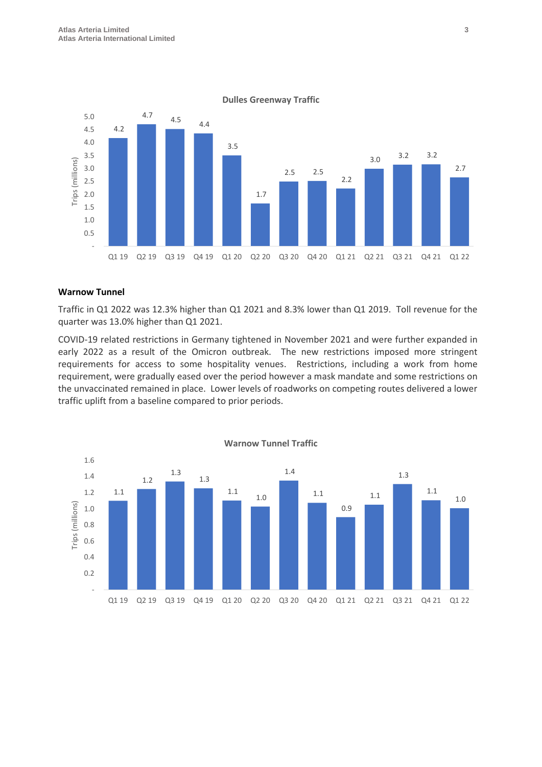

#### **Warnow Tunnel**

Traffic in Q1 2022 was 12.3% higher than Q1 2021 and 8.3% lower than Q1 2019. Toll revenue for the quarter was 13.0% higher than Q1 2021.

COVID-19 related restrictions in Germany tightened in November 2021 and were further expanded in early 2022 as a result of the Omicron outbreak. The new restrictions imposed more stringent requirements for access to some hospitality venues. Restrictions, including a work from home requirement, were gradually eased over the period however a mask mandate and some restrictions on the unvaccinated remained in place. Lower levels of roadworks on competing routes delivered a lower traffic uplift from a baseline compared to prior periods.



**Dulles Greenway Traffic**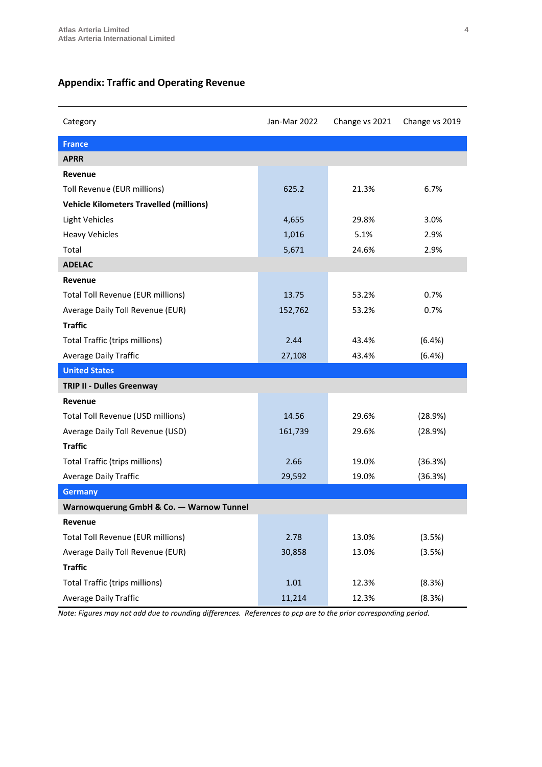# **Appendix: Traffic and Operating Revenue**

| Category                                       | Jan-Mar 2022 | Change vs 2021 | Change vs 2019 |  |  |
|------------------------------------------------|--------------|----------------|----------------|--|--|
| <b>France</b>                                  |              |                |                |  |  |
| <b>APRR</b>                                    |              |                |                |  |  |
| Revenue                                        |              |                |                |  |  |
| Toll Revenue (EUR millions)                    | 625.2        | 21.3%          | 6.7%           |  |  |
| <b>Vehicle Kilometers Travelled (millions)</b> |              |                |                |  |  |
| <b>Light Vehicles</b>                          | 4,655        | 29.8%          | 3.0%           |  |  |
| <b>Heavy Vehicles</b>                          | 1,016        | 5.1%           | 2.9%           |  |  |
| Total                                          | 5,671        | 24.6%          | 2.9%           |  |  |
| <b>ADELAC</b>                                  |              |                |                |  |  |
| Revenue                                        |              |                |                |  |  |
| <b>Total Toll Revenue (EUR millions)</b>       | 13.75        | 53.2%          | 0.7%           |  |  |
| Average Daily Toll Revenue (EUR)               | 152,762      | 53.2%          | 0.7%           |  |  |
| <b>Traffic</b>                                 |              |                |                |  |  |
| <b>Total Traffic (trips millions)</b>          | 2.44         | 43.4%          | (6.4%)         |  |  |
| <b>Average Daily Traffic</b>                   | 27,108       | 43.4%          | (6.4%)         |  |  |
| <b>United States</b>                           |              |                |                |  |  |
| TRIP II - Dulles Greenway                      |              |                |                |  |  |
| Revenue                                        |              |                |                |  |  |
| Total Toll Revenue (USD millions)              | 14.56        | 29.6%          | (28.9%)        |  |  |
| Average Daily Toll Revenue (USD)               | 161,739      | 29.6%          | (28.9%)        |  |  |
| <b>Traffic</b>                                 |              |                |                |  |  |
| Total Traffic (trips millions)                 | 2.66         | 19.0%          | (36.3%)        |  |  |
| <b>Average Daily Traffic</b>                   | 29,592       | 19.0%          | (36.3%)        |  |  |
| <b>Germany</b>                                 |              |                |                |  |  |
| Warnowquerung GmbH & Co. - Warnow Tunnel       |              |                |                |  |  |
| Revenue                                        |              |                |                |  |  |
| <b>Total Toll Revenue (EUR millions)</b>       | 2.78         | 13.0%          | (3.5%)         |  |  |
| Average Daily Toll Revenue (EUR)               | 30,858       | 13.0%          | (3.5%)         |  |  |
| <b>Traffic</b>                                 |              |                |                |  |  |
| Total Traffic (trips millions)                 | 1.01         | 12.3%          | (8.3%)         |  |  |
| Average Daily Traffic                          | 11,214       | 12.3%          | (8.3%)         |  |  |

*Note: Figures may not add due to rounding differences. References to pcp are to the prior corresponding period.*